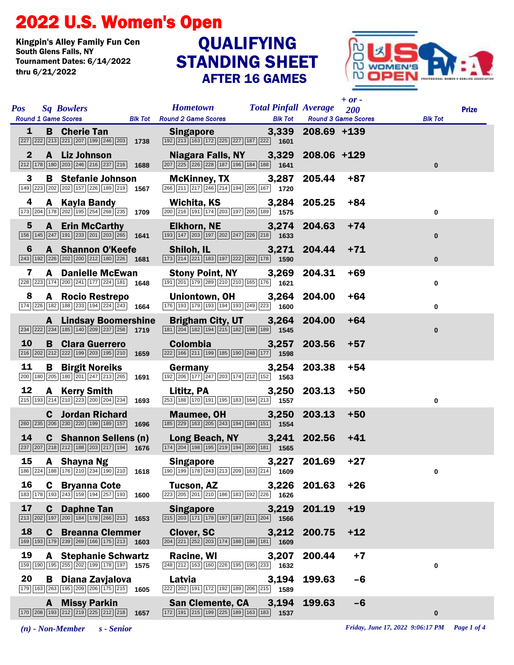## 2022 U.S. Women's Open

Kingpin's Alley Family Fun Cen Tournament Dates: 6/14/2022 thru 6/21/2022

## STANDING SHEET AFTER 16 GAMES QUALIFYING



| <b>Pos</b>      |    | <b>Sq Bowlers</b><br><b>Round 1 Game Scores</b>                                                                                                        |      | Hometown Total Pinfall Average 200<br><b>Blk Tot</b> Round 2 Game Scores                                                                                             | <b>Blk Tot</b> |                   | $+$ or -<br><b>Round 3 Game Scores</b> | <b>Blk Tot</b> | <b>Prize</b> |
|-----------------|----|--------------------------------------------------------------------------------------------------------------------------------------------------------|------|----------------------------------------------------------------------------------------------------------------------------------------------------------------------|----------------|-------------------|----------------------------------------|----------------|--------------|
| 1               |    | <b>B</b> Cherie Tan<br>227 222 213 221 207 199 246 203 1738                                                                                            |      | <b>Singapore</b><br>[192] [213] [163] [172] [225] [227] [187] [222] [1601                                                                                            |                | 3,339 208.69 +139 |                                        |                |              |
| $\mathbf{2}$    |    | A Liz Johnson<br>$\boxed{212}$ $\boxed{178}$ $\boxed{180}$ $\boxed{203}$ $\boxed{246}$ $\boxed{216}$ $\boxed{237}$ $\boxed{216}$ <b>1688</b>           |      | Niagara Falls, NY<br>$\boxed{207}$ $\boxed{225}$ $\boxed{226}$ $\boxed{228}$ $\boxed{187}$ $\boxed{196}$ $\boxed{184}$ $\boxed{188}$ $\boxed{1641}$                  | 3,329          | $208.06 + 129$    |                                        | $\mathbf{0}$   |              |
| 3               |    | <b>B</b> Stefanie Johnson<br>149 223 202 202 157 226 189 219 1567                                                                                      |      | McKinney, TX 3,287<br>$\boxed{266}\boxed{211}\boxed{217}\boxed{246}\boxed{214}\boxed{194}\boxed{205}\boxed{167}$ 1720                                                |                | 205.44            | $+87$                                  |                |              |
| 4               |    | A Kayla Bandy<br>$\boxed{173}$ $\boxed{204}$ $\boxed{178}$ $\boxed{202}$ $\boxed{195}$ $\boxed{254}$ $\boxed{268}$ $\boxed{235}$ 1709                  |      | Wichita, KS<br>200 216 191 174 203 197 205 189 1575                                                                                                                  | 3,284          | 205.25            | $+84$                                  | 0              |              |
| $5\phantom{.0}$ |    | <b>A</b> Erin McCarthy<br>$\boxed{156}$ $\boxed{145}$ $\boxed{247}$ $\boxed{191}$ $\boxed{233}$ $\boxed{201}$ $\boxed{203}$ $\boxed{265}$ <b>1641</b>  |      | <b>Elkhorn, NE</b><br>$\boxed{193}$ $\boxed{147}$ $\boxed{203}$ $\boxed{197}$ $\boxed{202}$ $\boxed{247}$ $\boxed{226}$ $\boxed{218}$ $\boxed{1633}$                 | 3,274          | 204.63            | $+74$                                  | $\bf{0}$       |              |
| 6               |    | <b>A</b> Shannon O'Keefe<br>$\boxed{243}$ 192 $\boxed{226}$ $\boxed{202}$ $\boxed{200}$ $\boxed{212}$ 180 $\boxed{226}$ 1681                           |      | Shiloh, IL 3,271 204.44<br>$\boxed{173}$ $\boxed{214}$ $\boxed{221}$ $\boxed{183}$ $\boxed{197}$ $\boxed{222}$ $\boxed{202}$ $\boxed{178}$ 1590                      |                |                   | $+71$                                  | $\bf{0}$       |              |
| 7               |    | <b>A</b> Danielle McEwan<br>228 223 174 200 241 177 224 181 1648                                                                                       |      | <b>Stony Point, NY</b><br>[191] 201] 179 289 210 210 165 176 1621                                                                                                    | 3,269          | 204.31            | $+69$                                  | 0              |              |
| 8               |    | A Rocio Restrepo<br>$\boxed{174}$ $\boxed{226}$ $\boxed{182}$ $\boxed{188}$ $\boxed{233}$ $\boxed{194}$ $\boxed{224}$ $\boxed{243}$ <b>1664</b>        |      | Uniontown, OH<br>176 193 179 193 194 193 249 223 1600                                                                                                                | 3,264          | 204.00            | $+64$                                  | 0              |              |
|                 |    | <b>A</b> Lindsay Boomershine<br>$\boxed{234}$ $\boxed{222}$ $\boxed{234}$ $\boxed{185}$ $\boxed{140}$ $\boxed{209}$ $\boxed{237}$ $\boxed{258}$        | 1719 | Brigham City, UT 3,264 204.00                                                                                                                                        |                |                   | $+64$                                  | $\bf{0}$       |              |
| 10              |    | <b>B</b> Clara Guerrero<br>$\boxed{216}$ $\boxed{202}$ $\boxed{212}$ $\boxed{222}$ $\boxed{199}$ $\boxed{203}$ $\boxed{195}$ $\boxed{210}$ <b>1659</b> |      | <b>Colombia</b><br>222 166 211 199 185 190 248 177 1598                                                                                                              | 3,257          | 203.56            | $+57$                                  |                |              |
| 11              |    | <b>B</b> Birgit Noreiks<br>200 180 205 180 201 247 213 265 1691                                                                                        |      | Germany<br>$\boxed{192}\boxed{206}\boxed{177}\boxed{247}\boxed{203}\boxed{174}\boxed{212}\boxed{152}$ 1563                                                           | 3,254          | 203.38            | $+54$                                  |                |              |
| 12              |    | A Kerry Smith<br>$\boxed{215}$ $\boxed{193}$ $\boxed{214}$ $\boxed{210}$ $\boxed{223}$ $\boxed{200}$ $\boxed{204}$ $\boxed{234}$ <b>1693</b>           |      | Lititz, PA<br>$\boxed{253}$ 188 $\boxed{170}$ 191 195 183 164 213 1557                                                                                               | 3,250          | 203.13            | $+50$                                  | 0              |              |
|                 |    | <b>C</b> Jordan Richard<br>260 235 206 230 220 199 189 157                                                                                             | 1696 | <b>Maumee, OH</b><br>185 229 163 205 243 194 184 151 1554                                                                                                            | 3,250          | 203.13            | $+50$                                  |                |              |
| 14              |    | <b>C</b> Shannon Sellens (n)<br>$\boxed{237}$ $\boxed{207}$ $\boxed{218}$ $\boxed{212}$ $\boxed{188}$ $\boxed{203}$ $\boxed{217}$ $\boxed{194}$ 1676   |      | Long Beach, NY 3,241 202.56<br>$\boxed{174}\boxed{204}\boxed{198}\boxed{195}\boxed{219}\boxed{194}\boxed{200}\boxed{181}$ 1565                                       |                |                   | $+41$                                  |                |              |
| 15              |    | A Shayna Ng<br>186 224 188 176 210 234 190 210 1618                                                                                                    |      | <b>Singapore</b><br>190 199 178 243 213 209 163 214 1609                                                                                                             | 3,227          | 201.69            | $+27$                                  | 0              |              |
| 16              |    | <b>C</b> Bryanna Cote<br>$\boxed{183}\boxed{178}\boxed{193}\boxed{243}\boxed{159}\boxed{194}\boxed{257}\boxed{193}$ 1600                               |      | Tucson, AZ<br>$\boxed{223}\boxed{205}\boxed{201}\boxed{210}\boxed{186}\boxed{183}\boxed{192}\boxed{226}$ 1626                                                        |                | 3,226 201.63      | $+26$                                  |                |              |
| 17              |    | <b>C</b> Daphne Tan<br>$\boxed{213}\boxed{202}\boxed{197}\boxed{200}\boxed{184}\boxed{178}\boxed{266}\boxed{213}$                                      | 1653 | <b>Singapore</b><br>$\boxed{215}\boxed{203}\boxed{171}\boxed{178}\boxed{197}\boxed{187}\boxed{211}\boxed{204}$ 1566                                                  | 3,219          | 201.19            | $+19$                                  |                |              |
| 18              | C. | <b>Breanna Clemmer</b><br>169 193 179 239 269 166 175 213                                                                                              | 1603 | <b>Clover, SC</b><br>$\boxed{204}\boxed{221}\boxed{252}\boxed{203}\boxed{174}\boxed{188}\boxed{186}\boxed{181}$ 1609                                                 | 3,212          | 200.75            | $+12$                                  |                |              |
| 19              |    | <b>A</b> Stephanie Schwartz<br>159 190 195 255 202 199 178 197 1575                                                                                    |      | <b>Racine, WI</b><br>$\boxed{248}\boxed{212}\boxed{163}\boxed{160}\boxed{226}\boxed{195}\boxed{195}\boxed{233}$ 1632                                                 | 3,207          | 200.44            | $+7$                                   | 0              |              |
| 20              |    | <b>B</b> Diana Zavjalova<br>179 163 263 195 209 206 175 215 1605                                                                                       |      | Latvia<br>222 202 191 172 192 189 206 215 1589                                                                                                                       | 3,194          | 199.63            | $-6$                                   |                |              |
|                 |    | <b>A</b> Missy Parkin<br>$\boxed{170}$ $\boxed{208}$ $\boxed{193}$ $\boxed{212}$ $\boxed{219}$ $\boxed{225}$ $\boxed{212}$ $\boxed{218}$ <b>1657</b>   |      | <b>San Clemente, CA</b><br>$\boxed{172}$ $\boxed{191}$ $\boxed{215}$ $\boxed{199}$ $\boxed{225}$ $\boxed{189}$ $\boxed{163}$ $\boxed{183}$ $\boxed{183}$ <b>1537</b> | 3,194          | 199.63            | $-6$                                   | $\mathbf{0}$   |              |

*(n) - Non-Member s - Senior Friday, June 17, 2022 9:06:17 PM Page 1 of 4*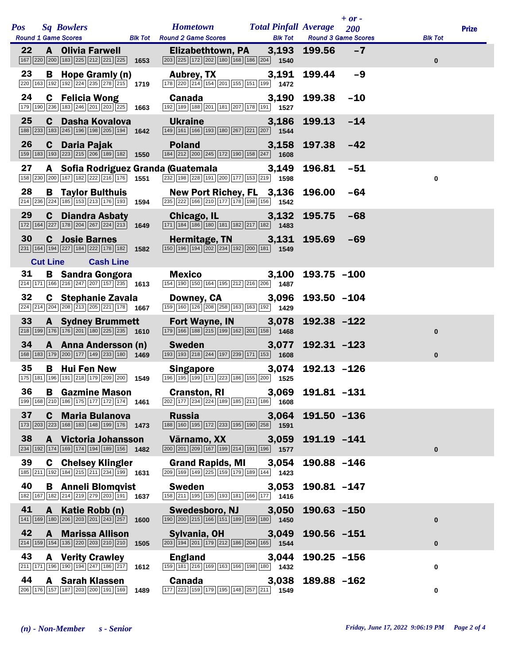|            |                 |                                                                                                                                                         |      |                                                                                                                                                                   |                                                |                | $+$ or $-$                        |                |              |
|------------|-----------------|---------------------------------------------------------------------------------------------------------------------------------------------------------|------|-------------------------------------------------------------------------------------------------------------------------------------------------------------------|------------------------------------------------|----------------|-----------------------------------|----------------|--------------|
| <b>Pos</b> |                 | <b>Sq Bowlers</b><br><b>Round 1 Game Scores</b>                                                                                                         |      | <b>Hometown</b><br><b>Blk Tot</b> Round 2 Game Scores                                                                                                             | <b>Total Pinfall Average</b><br><b>Blk Tot</b> |                | 200<br><b>Round 3 Game Scores</b> | <b>Blk Tot</b> | <b>Prize</b> |
| 22         |                 | <b>A</b> Olivia Farwell<br>$\boxed{167}$ $\boxed{220}$ $\boxed{200}$ $\boxed{183}$ $\boxed{225}$ $\boxed{212}$ $\boxed{221}$ $\boxed{225}$ <b>1653</b>  |      | Elizabethtown, PA 3,193<br>$\boxed{203}$ $\boxed{225}$ $\boxed{172}$ $\boxed{202}$ $\boxed{180}$ $\boxed{168}$ $\boxed{186}$ $\boxed{204}$ <b>1540</b>            |                                                | 199.56         | $-7$                              | $\bf{0}$       |              |
| 23         | B               | Hope Gramly (n)<br>$\boxed{220}\boxed{163}\boxed{192}\boxed{192}\boxed{224}\boxed{235}\boxed{278}\boxed{215}$ 1719                                      |      | <b>Aubrey, TX</b><br>178 220 214 154 201 155 151 199 1472                                                                                                         | 3,191                                          | 199.44         | $-9$                              |                |              |
| 24         |                 | <b>C</b> Felicia Wong<br>$\boxed{179}$ $\boxed{190}$ $\boxed{236}$ $\boxed{183}$ $\boxed{246}$ $\boxed{201}$ $\boxed{203}$ $\boxed{225}$ <b>1663</b>    |      | <b>Canada Canada</b><br>192 189 188 201 181 207 178 191 1527                                                                                                      | 3,190                                          | 199.38         | $-10$                             |                |              |
| 25         | C.              | Dasha Kovalova<br>188 233 183 245 196 198 205 194 1642                                                                                                  |      | <b>Ukraine</b><br>149 161 166 193 180 267 221 207 1544                                                                                                            | 3.186                                          | 199.13         | $-14$                             |                |              |
| 26         | C               | Daria Pajak<br>$\boxed{159}$ $\boxed{183}$ $\boxed{193}$ $\boxed{223}$ $\boxed{215}$ $\boxed{206}$ $\boxed{189}$ $\boxed{182}$ <b>1550</b>              |      | <b>Poland</b><br>184 212 200 245 172 190 158 247 1608                                                                                                             | 3,158                                          | 197.38         | $-42$                             |                |              |
| 27         |                 | 158 230 200 167 182 222 216 176 1551                                                                                                                    |      | A Sofia Rodriguez Granda (Guatemala<br>232 198 228 191 200 177 153 219 1598                                                                                       | 3,149                                          | 196.81         | $-51$                             | $\mathbf 0$    |              |
| 28         |                 | <b>B</b> Taylor Bulthuis<br>$\boxed{214}$ $\boxed{236}$ $\boxed{224}$ $\boxed{185}$ $\boxed{153}$ $\boxed{213}$ $\boxed{176}$ $\boxed{193}$ <b>1594</b> |      | New Port Richey, FL 3,136<br>$\boxed{235}$ $\boxed{222}$ 166 210 177 178 198 156 156                                                                              |                                                | 196.00         | $-64$                             |                |              |
| 29         | C               | <b>Diandra Asbaty</b><br>$\boxed{172}\boxed{164}\boxed{227}\boxed{178}\boxed{204}\boxed{267}\boxed{224}\boxed{213}$                                     | 1649 | Chicago, IL <b>Chicago</b> , IL<br>$\boxed{171}$ $\boxed{184}$ $\boxed{186}$ $\boxed{180}$ $\boxed{181}$ $\boxed{182}$ $\boxed{217}$ $\boxed{182}$ $\boxed{1483}$ | 3,132                                          | 195.75         | $-68$                             |                |              |
| 30         |                 | <b>C</b> Josie Barnes<br>231 164 194 227 184 222 178 182 1582                                                                                           |      | Hermitage, TN 3,131<br>$\boxed{150}$ $\boxed{196}$ $\boxed{194}$ $\boxed{202}$ $\boxed{234}$ $\boxed{192}$ $\boxed{200}$ $\boxed{181}$ <b>1549</b>                |                                                | 195.69         | $-69$                             |                |              |
|            | <b>Cut Line</b> | <b>Cash Line</b>                                                                                                                                        |      |                                                                                                                                                                   |                                                |                |                                   |                |              |
| 31         |                 | <b>B</b> Sandra Gongora<br>$\boxed{214}$ 171 166 216 247 207 157 235 1613                                                                               |      | Mexico<br>154 190 150 164 195 212 216 206 1487                                                                                                                    | 3,100                                          | $193.75 - 100$ |                                   |                |              |
| 32         |                 | C Stephanie Zavala<br>$\boxed{224}$ $\boxed{214}$ $\boxed{204}$ $\boxed{208}$ $\boxed{213}$ $\boxed{205}$ $\boxed{221}$ $\boxed{178}$ <b>1667</b>       |      | <b>Downey, CA</b><br>$\boxed{159}$ $\boxed{160}$ $\boxed{126}$ $\boxed{208}$ $\boxed{258}$ $\boxed{163}$ $\boxed{163}$ $\boxed{192}$ <b>1429</b>                  | 3,096                                          | $193.50 - 104$ |                                   |                |              |
| 33         |                 | <b>A</b> Sydney Brummett<br>$\boxed{218}$ 199 176 176 201 180 225 235 1610                                                                              |      | <b>Fort Wayne, IN</b><br>$\boxed{179}$ $\boxed{166}$ $\boxed{188}$ $\boxed{215}$ $\boxed{199}$ $\boxed{162}$ $\boxed{201}$ $\boxed{158}$ $\boxed{1468}$           | 3,078                                          | 192.38 -122    |                                   | $\mathbf 0$    |              |
| 34         |                 | A Anna Andersson (n)<br>168 183 179 200 177 149 233 180 1469                                                                                            |      | <b>Sweden Sweden</b><br>$\boxed{193}$ $\boxed{193}$ $\boxed{218}$ $\boxed{244}$ $\boxed{197}$ $\boxed{239}$ $\boxed{171}$ $\boxed{153}$ $\boxed{1608}$            | 3,077                                          | $192.31 - 123$ |                                   | $\mathbf{0}$   |              |
| 35         |                 | <b>B</b> Hui Fen New<br>175 181 196 191 218 179 209 200 1549                                                                                            |      | <b>Singapore</b><br>196 195 199 171 223 186 155 200 1525                                                                                                          | 3,074                                          | $192.13 - 126$ |                                   |                |              |
|            |                 | 36 B Gazmine Mason<br>199 168 210 186 175 177 172 174 1461                                                                                              |      | Cranston, RI 3,069 191.81 -131<br>$\boxed{202}\boxed{177}\boxed{234}\boxed{224}\boxed{189}\boxed{185}\boxed{211}\boxed{186}$ 1608                                 |                                                |                |                                   |                |              |
| 37         |                 | <b>C</b> Maria Bulanova<br>$\boxed{173}$ $\boxed{203}$ $\boxed{223}$ $\boxed{168}$ $\boxed{183}$ $\boxed{148}$ $\boxed{199}$ $\boxed{176}$ 1473         |      | <b>Russia</b><br>188 160 195 172 233 195 190 258 1591                                                                                                             | 3,064                                          | 191.50 -136    |                                   |                |              |
| 38         | A               | Victoria Johansson<br>234 192 174 169 174 194 189 156 1482                                                                                              |      | Värnamo, XX<br>200 201 209 167 199 214 191 196 1577                                                                                                               | 3,059                                          | 191.19 -141    |                                   | $\mathbf{0}$   |              |
| 39         | C               | <b>Chelsey Klingler</b><br>185 211 192 184 215 211 234 199 1631                                                                                         |      | <b>Grand Rapids, MI</b><br>209 169 149 225 159 179 189 144 1423                                                                                                   | 3,054                                          | 190.88 -146    |                                   |                |              |
| 40         |                 | <b>B</b> Anneli Blomqvist<br>182 167 182 214 219 279 203 191 1637                                                                                       |      | <b>Sweden</b><br>158 211 195 135 193 181 166 177 1416                                                                                                             | 3,053                                          | 190.81 -147    |                                   |                |              |
| 41         | A               | Katie Robb (n)<br>141 169 180 206 203 201 243 257                                                                                                       | 1600 | Swedesboro, NJ<br>190 200 215 166 151 189 159 180 1650                                                                                                            | 3,050                                          | $190.63 - 150$ |                                   | $\bf{0}$       |              |
| 42         | A               | <b>Marissa Allison</b><br>214 159 154 135 220 203 210 210                                                                                               | 1505 | Sylvania, OH<br>$\boxed{203}$ 194 201 179 212 186 204 165 1544                                                                                                    | 3,049                                          | 190.56 -151    |                                   | $\bf{0}$       |              |
| 43         |                 | <b>A</b> Verity Crawley<br>211 171 196 190 194 247 186 217                                                                                              | 1612 | <b>England</b><br>159 181 216 169 163 166 198 180 1432                                                                                                            | 3,044                                          | $190.25 - 156$ |                                   | 0              |              |
| 44         |                 | <b>A</b> Sarah Klassen<br>206 176 157 187 203 200 191 169                                                                                               | 1489 | <b>Canada</b><br>177 223 159 179 195 148 257 211 1549                                                                                                             | 3,038                                          | 189.88 -162    |                                   | $\mathbf 0$    |              |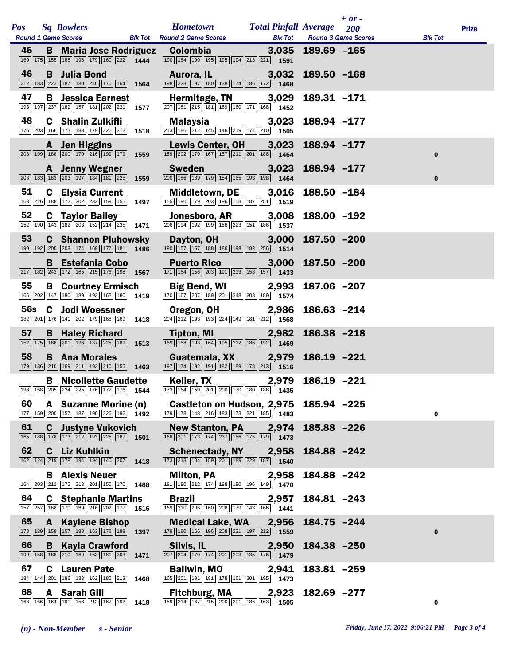| <b>Pos</b> |   | <b>Sq Bowlers</b><br>Round 1 Game Scores Blk Tot Round 2 Game Scores                                                                                |      | <b>Hometown Total Pinfall Average</b>                                                                                                                     |       | <b>Blk Tot</b> Round 3 Game Scores | $+$ or $-$<br><b>200</b> | <b>Blk Tot</b> | <b>Prize</b> |
|------------|---|-----------------------------------------------------------------------------------------------------------------------------------------------------|------|-----------------------------------------------------------------------------------------------------------------------------------------------------------|-------|------------------------------------|--------------------------|----------------|--------------|
| 45         |   | 169 175 155 188 196 179 160 222 1444                                                                                                                |      | <b>B</b> Maria Jose Rodriguez Colombia<br>190 184 199 195 195 194 213 221 1591                                                                            |       | $3,035$ 189.69 $-165$              |                          |                |              |
| 46         |   | <b>B</b> Julia Bond<br>$\boxed{212}$ 183 222 187 180 246 170 164 1564                                                                               |      | Aurora, IL <b>Aurora</b><br>198 223 197 180 138 174 186 172 1468                                                                                          | 3,032 | $189.50 - 168$                     |                          |                |              |
| 47         |   | <b>B</b> Jessica Earnest<br>193 197 237 189 157 181 202 221 157                                                                                     |      | Hermitage, TN 3,029<br>$\boxed{207}$ 181 $\boxed{215}$ 181 169 160 171 168 1452                                                                           |       | 189.31 -171                        |                          |                |              |
| 48         |   | <b>C</b> Shalin Zulkifli<br>176 203 166 173 183 179 226 212 1518                                                                                    |      | Malaysia<br>$\boxed{213}$ $\boxed{186}$ $\boxed{212}$ $\boxed{145}$ $\boxed{146}$ $\boxed{219}$ $\boxed{174}$ $\boxed{210}$ <b>1505</b>                   | 3,023 | 188.94 -177                        |                          |                |              |
|            |   | A Jen Higgins<br>$\boxed{208}$ $\boxed{199}$ $\boxed{188}$ $\boxed{200}$ $\boxed{170}$ $\boxed{216}$ $\boxed{199}$ $\boxed{179}$ <b>1559</b>        |      | Lewis Center, OH 3,023<br>$\boxed{159}$ $\boxed{202}$ $\boxed{179}$ $\boxed{167}$ $\boxed{157}$ $\boxed{211}$ $\boxed{201}$ $\boxed{188}$ $\boxed{1464}$  |       | 188.94 -177                        |                          | $\bf{0}$       |              |
|            |   | <b>A</b> Jenny Wegner<br>203 183 183 203 197 184 181 225 1559                                                                                       |      | <b>Sweden Sweden</b><br>200 186 189 179 154 165 193 198 1464                                                                                              | 3,023 | 188.94 -177                        |                          | $\bf{0}$       |              |
| 51         |   | <b>C</b> Elysia Current<br>163 226 188 172 202 232 159 155 1497                                                                                     |      | Middletown, DE 3,016<br>155 190 179 203 196 158 187 251 1519                                                                                              |       | $188.50 - 184$                     |                          |                |              |
| 52         |   | <b>C</b> Taylor Bailey<br>152 190 143 182 203 152 214 235 1471                                                                                      |      | <b>Jonesboro, AR</b><br>$\overline{ 206   194   192   199   186   223   151   186 }$ 1537                                                                 | 3,008 | 188.00 -192                        |                          |                |              |
| 53         |   | <b>C</b> Shannon Pluhowsky<br>190 192 200 203 174 169 177 181 1486                                                                                  |      | Dayton, OH<br>190 157 157 188 186 198 182 256 1514                                                                                                        | 3,000 | $187.50 - 200$                     |                          |                |              |
|            |   | <b>B</b> Estefania Cobo<br>$\boxed{217}$ 182 242 172 165 215 176 198 1567                                                                           |      | <b>Puerto Rico</b><br>$\boxed{171}$ $\boxed{164}$ $\boxed{156}$ $\boxed{203}$ $\boxed{191}$ $\boxed{233}$ $\boxed{158}$ $\boxed{157}$ <b>1433</b>         | 3,000 | $187.50 - 200$                     |                          |                |              |
| 55         |   | <b>B</b> Courtney Ermisch<br>165 202 147 180 189 193 163 180 1419                                                                                   |      | Big Bend, WI 2,993<br>$\boxed{170}$ $\boxed{167}$ $\boxed{207}$ $\boxed{189}$ $\boxed{201}$ $\boxed{248}$ $\boxed{203}$ $\boxed{189}$ 1574                |       | 187.06 -207                        |                          |                |              |
| 56s        |   | <b>C</b> Jodi Woessner<br>182 201 176 141 202 179 168 169 1418                                                                                      |      | Oregon, OH<br>$\boxed{204}\boxed{212}\boxed{193}\boxed{193}\boxed{224}\boxed{149}\boxed{181}\boxed{212}$ 1568                                             | 2,986 | $186.63 - 214$                     |                          |                |              |
| 57         |   | <b>B</b> Haley Richard<br>152 175 188 201 196 187 225 189 1513                                                                                      |      | Tipton, MI<br>$\boxed{169}$ 158 193 164 195 212 186 192 1469                                                                                              | 2,982 | $186.38 - 218$                     |                          |                |              |
| 58         |   | <b>B</b> Ana Morales<br>$\boxed{179}$ $\boxed{136}$ $\boxed{210}$ $\boxed{169}$ $\boxed{211}$ $\boxed{193}$ $\boxed{210}$ $\boxed{155}$ <b>1463</b> |      | Guatemala, XX 2,979<br>197 174 192 191 182 189 178 213 1516                                                                                               |       | $186.19 - 221$                     |                          |                |              |
|            |   | <b>B</b> Nicollette Gaudette                                                                                                                        |      | Keller, TX<br>198 168 205 224 225 176 172 176 1544 173 164 159 201 200 170 180 188 1435                                                                   |       | 2,979 186.19 -221                  |                          |                |              |
| 60         |   | A Suzanne Morine (n)<br>177   159   200   157   187   190   226   196   1492                                                                        |      | Castleton on Hudson, 2,975<br>$\boxed{179}$ $\boxed{178}$ $\boxed{148}$ $\boxed{216}$ $\boxed{183}$ $\boxed{173}$ $\boxed{221}$ $\boxed{185}$ <b>1483</b> |       | 185.94 -225                        |                          | 0              |              |
| 61         |   | <b>C</b> Justyne Vukovich<br>165   188   178   173   212   193   225   167   1501                                                                   |      | <b>New Stanton, PA</b><br>168 201 173 174 237 166 175 179 1473                                                                                            | 2,974 | 185.88 -226                        |                          |                |              |
| 62         |   | <b>C</b> Liz Kuhlkin<br>162 124 219 178 194 194 140 207                                                                                             | 1418 | <b>Schenectady, NY</b><br>[173] 218 184 159 201 189 229 187 1540                                                                                          | 2,958 | 184.88 -242                        |                          |                |              |
|            |   | <b>B</b> Alexis Neuer<br>164 203 212 175 213 201 150 170                                                                                            | 1488 | Milton, PA<br>$\boxed{181}$ $\boxed{180}$ $\boxed{212}$ $\boxed{174}$ $\boxed{198}$ $\boxed{180}$ $\boxed{196}$ $\boxed{149}$ $\boxed{1470}$              | 2,958 | 184.88 -242                        |                          |                |              |
| 64         |   | <b>C</b> Stephanie Martins<br>157 257 168 170 169 216 202 177 1516                                                                                  |      | <b>Brazil</b><br>169 210 206 160 208 179 143 166 1441                                                                                                     | 2,957 | 184.81 -243                        |                          |                |              |
| 65         | A | <b>Kaylene Bishop</b><br>178 189 158 157 188 163 176 188                                                                                            | 1397 | <b>Medical Lake, WA</b><br>179 180 166 196 208 221 197 212 1559                                                                                           | 2,956 | 184.75 -244                        |                          | $\bf{0}$       |              |
| 66         | B | <b>Kayla Crawford</b><br>199 158 188 210 169 163 181 203 1471                                                                                       |      | Silvis, IL<br>207 204 179 174 201 203 135 176 1479                                                                                                        | 2,950 | 184.38 -250                        |                          |                |              |
| 67         | C | <b>Lauren Pate</b><br>184 144 201 196 183 162 185 213                                                                                               | 1468 | <b>Ballwin, MO</b><br>165 201 191 181 178 161 201 195 1473                                                                                                | 2,941 | 183.81 -259                        |                          |                |              |
| 68         |   | A Sarah Gill<br>168 166 164 191 158 212 167 192                                                                                                     | 1418 | <b>Fitchburg, MA</b><br>159 214 167 215 200 201 186 163 1505                                                                                              | 2,923 | $182.69 - 277$                     |                          | $\mathbf 0$    |              |